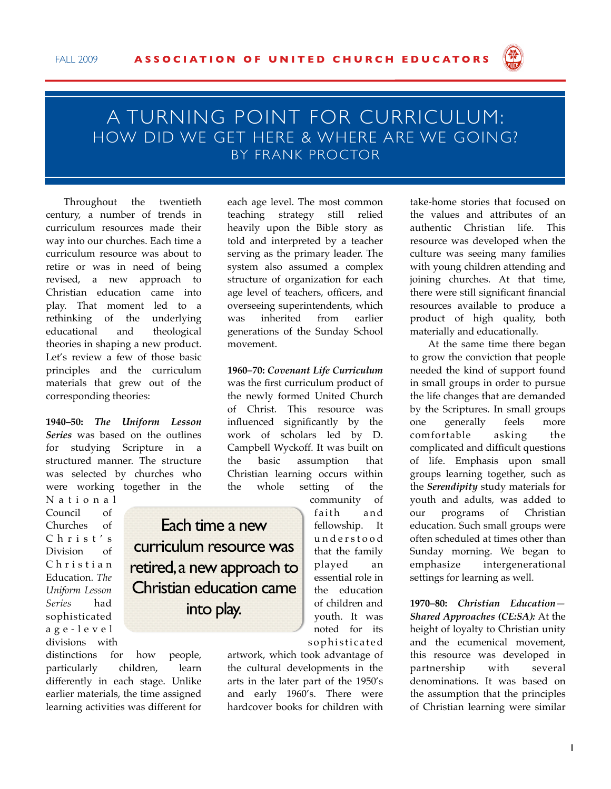

## A TURNING POINT FOR CURRICULUM: HOW DID WE GET HERE & WHERE ARE WE GOING? BY FRANK PROCTOR

Throughout the twentieth century, a number of trends in curriculum resources made their way into our churches. Each time a curriculum resource was about to retire or was in need of being revised, a new approach to Christian education came into play. That moment led to a rethinking of the underlying educational and theological theories in shaping a new product. Let's review a few of those basic principles and the curriculum materials that grew out of the corresponding theories:

**1940–50:** *The Uniform Lesson Series* was based on the outlines for studying Scripture in a structured manner. The structure was selected by churches who were working together in the

N a t i o n a l Council of Churches of C h r i s t ' s Division of C h r i s t i a n Education. *The Uniform Lesson Series* had sophisticated a g e - l e v e l divisions with

Each time a new curriculum resource was retired, a new approach to Christian education came into play.

distinctions for how people, particularly children, learn differently in each stage. Unlike earlier materials, the time assigned learning activities was different for each age level. The most common teaching strategy still relied heavily upon the Bible story as told and interpreted by a teacher serving as the primary leader. The system also assumed a complex structure of organization for each age level of teachers, officers, and overseeing superintendents, which was inherited from earlier generations of the Sunday School movement.

**1960–70:** *Covenant Life Curriculum* was the first curriculum product of the newly formed United Church of Christ. This resource was influenced significantly by the work of scholars led by D. Campbell Wyckoff. It was built on the basic assumption that Christian learning occurs within the whole setting of the

> community of faith and fellowship. It u n d e r s t o o d that the family played an essential role in the education of children and youth. It was noted for its sophisticated

artwork, which took advantage of the cultural developments in the arts in the later part of the 1950's and early 1960's. There were hardcover books for children with

take-home stories that focused on the values and attributes of an authentic Christian life. This resource was developed when the culture was seeing many families with young children attending and joining churches. At that time, there were still significant financial resources available to produce a product of high quality, both materially and educationally.

At the same time there began to grow the conviction that people needed the kind of support found in small groups in order to pursue the life changes that are demanded by the Scriptures. In small groups one generally feels more comfortable asking the complicated and difficult questions of life. Emphasis upon small groups learning together, such as the *Serendipity* study materials for youth and adults, was added to our programs of Christian education. Such small groups were often scheduled at times other than Sunday morning. We began to emphasize intergenerational settings for learning as well.

**1970–80:** *Christian Education— Shared Approaches (CE:SA):* At the height of loyalty to Christian unity and the ecumenical movement, this resource was developed in partnership with several denominations. It was based on the assumption that the principles of Christian learning were similar

1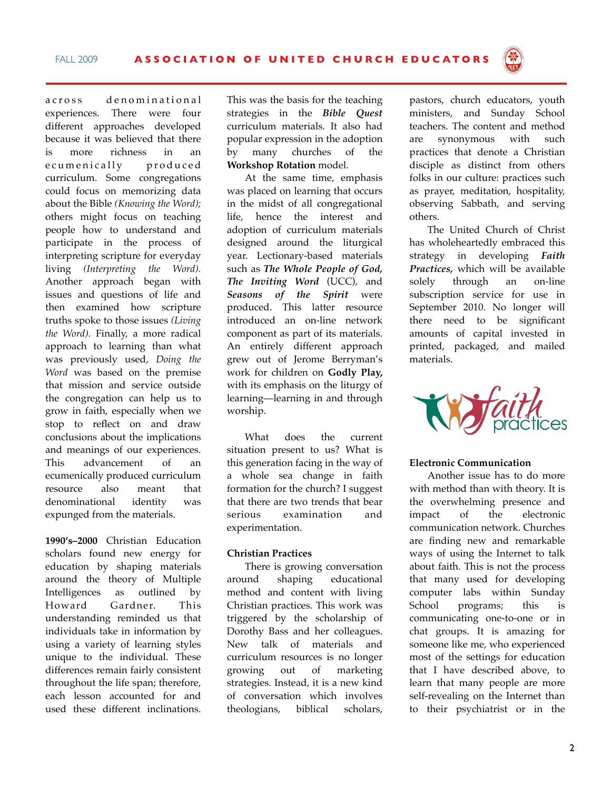across denominational experiences. There were four different approaches developed because it was believed that there is more richness in an e cumenically produced curriculum. Some congregations could focus on memorizing data about the Bible *(Knowing the Word);* others might focus on teaching people how to understand and participate in the process of interpreting scripture for everyday living *(Interpreting the Word).* Another approach began with issues and questions of life and then examined how scripture truths spoke to those issues *(Living the Word).* Finally, a more radical approach to learning than what was previously used, *Doing the Word* was based on the premise that mission and service outside the congregation can help us to grow in faith, especially when we stop to reflect on and draw conclusions about the implications and meanings of our experiences. This advancement of an ecumenically produced curriculum resource also meant that denominational identity was expunged from the materials.

**1990's–2000** Christian Education scholars found new energy for education by shaping materials around the theory of Multiple Intelligences as outlined by Howard Gardner. This understanding reminded us that individuals take in information by using a variety of learning styles unique to the individual. These differences remain fairly consistent throughout the life span; therefore, each lesson accounted for and used these different inclinations.

This was the basis for the teaching strategies in the *Bible Quest* curriculum materials. It also had popular expression in the adoption by many churches of the **Workshop Rotation** model.

At the same time, emphasis was placed on learning that occurs in the midst of all congregational life, hence the interest and adoption of curriculum materials designed around the liturgical year. Lectionary-based materials such as *The Whole People of God, The Inviting Word* (UCC), and *Seasons of the Spirit* were produced. This latter resource introduced an on-line network component as part of its materials. An entirely different approach grew out of Jerome Berryman's work for children on **Godly Play,** with its emphasis on the liturgy of learning—learning in and through worship.

What does the current situation present to us? What is this generation facing in the way of a whole sea change in faith formation for the church? I suggest that there are two trends that bear serious examination and experimentation.

## **Christian Practices**

There is growing conversation around shaping educational method and content with living Christian practices. This work was triggered by the scholarship of Dorothy Bass and her colleagues. New talk of materials and curriculum resources is no longer growing out of marketing strategies. Instead, it is a new kind of conversation which involves theologians, biblical scholars, pastors, church educators, youth ministers, and Sunday School teachers. The content and method are synonymous with such practices that denote a Christian disciple as distinct from others folks in our culture: practices such as prayer, meditation, hospitality, observing Sabbath, and serving others.

The United Church of Christ has wholeheartedly embraced this strategy in developing *Faith Practices,* which will be available solely through an on-line subscription service for use in September 2010. No longer will there need to be significant amounts of capital invested in printed, packaged, and mailed materials.



## **Electronic Communication**

Another issue has to do more with method than with theory. It is the overwhelming presence and impact of the electronic communication network. Churches are finding new and remarkable ways of using the Internet to talk about faith. This is not the process that many used for developing computer labs within Sunday School programs; this is communicating one-to-one or in chat groups. It is amazing for someone like me, who experienced most of the settings for education that I have described above, to learn that many people are more self-revealing on the Internet than to their psychiatrist or in the